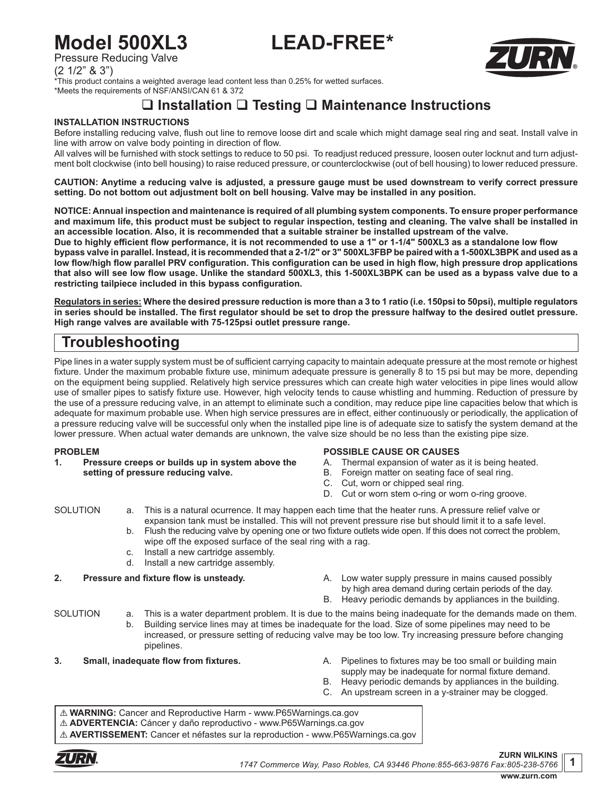# **Model 500XL3 LEAD-FREE\***



Pressure Reducing Valve

(2 1/2" & 3")

\*This product contains a weighted average lead content less than 0.25% for wetted surfaces. \*Meets the requirements of NSF/ANSI/CAN 61 & 372

## **Installation Testing Maintenance Instructions**

#### **INSTALLATION INSTRUCTIONS**

Before installing reducing valve, flush out line to remove loose dirt and scale which might damage seal ring and seat. Install valve in line with arrow on valve body pointing in direction of flow.

All valves will be furnished with stock settings to reduce to 50 psi. To readjust reduced pressure, loosen outer locknut and turn adjustment bolt clockwise (into bell housing) to raise reduced pressure, or counterclockwise (out of bell housing) to lower reduced pressure.

**CAUTION: Anytime a reducing valve is adjusted, a pressure gauge must be used downstream to verify correct pressure setting. Do not bottom out adjustment bolt on bell housing. Valve may be installed in any position.**

**NOTICE: Annual inspection and maintenance is required of all plumbing system components. To ensure proper performance and maximum life, this product must be subject to regular inspection, testing and cleaning. The valve shall be installed in an accessible location. Also, it is recommended that a suitable strainer be installed upstream of the valve.**

**Due to highly efficient flow performance, it is not recommended to use a 1" or 1-1/4" 500XL3 as a standalone low flow bypass valve in parallel. Instead, it is recommended that a 2-1/2" or 3" 500XL3FBP be paired with a 1-500XL3BPK and used as a low flow/high flow parallel PRV configuration. This configuration can be used in high flow, high pressure drop applications that also will see low flow usage. Unlike the standard 500XL3, this 1-500XL3BPK can be used as a bypass valve due to a restricting tailpiece included in this bypass configuration.**

**Regulators in series: Where the desired pressure reduction is more than a 3 to 1 ratio (i.e. 150psi to 50psi), multiple regulators in series should be installed. The first regulator should be set to drop the pressure halfway to the desired outlet pressure. High range valves are available with 75-125psi outlet pressure range.**

### **Troubleshooting**

Pipe lines in a water supply system must be of sufficient carrying capacity to maintain adequate pressure at the most remote or highest fixture. Under the maximum probable fixture use, minimum adequate pressure is generally 8 to 15 psi but may be more, depending on the equipment being supplied. Relatively high service pressures which can create high water velocities in pipe lines would allow use of smaller pipes to satisfy fixture use. However, high velocity tends to cause whistling and humming. Reduction of pressure by the use of a pressure reducing valve, in an attempt to eliminate such a condition, may reduce pipe line capacities below that which is adequate for maximum probable use. When high service pressures are in effect, either continuously or periodically, the application of a pressure reducing valve will be successful only when the installed pipe line is of adequate size to satisfy the system demand at the lower pressure. When actual water demands are unknown, the valve size should be no less than the existing pipe size.

#### **PROBLEM**

**1. Pressure creeps or builds up in system above the setting of pressure reducing valve.**

#### **POSSIBLE CAUSE OR CAUSES**

- A. Thermal expansion of water as it is being heated.
- B. Foreign matter on seating face of seal ring.
- C. Cut, worn or chipped seal ring.
- D. Cut or worn stem o-ring or worn o-ring groove.

- SOLUTION a. This is a natural ocurrence. It may happen each time that the heater runs. A pressure relief valve or expansion tank must be installed. This will not prevent pressure rise but should limit it to a safe level.
	- b. Flush the reducing valve by opening one or two fixture outlets wide open. If this does not correct the problem, wipe off the exposed surface of the seal ring with a rag.
	- c. Install a new cartridge assembly. d. Install a new cartridge assembly.

**2. Pressure and fixture flow is unsteady.** A. Low water supply pressure in mains caused possibly by high area demand during certain periods of the day. B. Heavy periodic demands by appliances in the building.

SOLUTION a. This is a water department problem. It is due to the mains being inadequate for the demands made on them. b. Building service lines may at times be inadequate for the load. Size of some pipelines may need to be increased, or pressure setting of reducing valve may be too low. Try increasing pressure before changing pipelines.

- **3. Small, inadequate flow from fixtures. A.** Pipelines to fixtures may be too small or building main supply may be inadequate for normal fixture demand.
	- B. Heavy periodic demands by appliances in the building.
	- C. An upstream screen in a y-strainer may be clogged.

! **WARNING:** Cancer and Reproductive Harm - www.P65Warnings.ca.gov ! **ADVERTENCIA:** Cáncer y daño reproductivo - www.P65Warnings.ca.gov ! **AVERTISSEMENT:** Cancer et néfastes sur la reproduction - www.P65Warnings.ca.gov



**1**